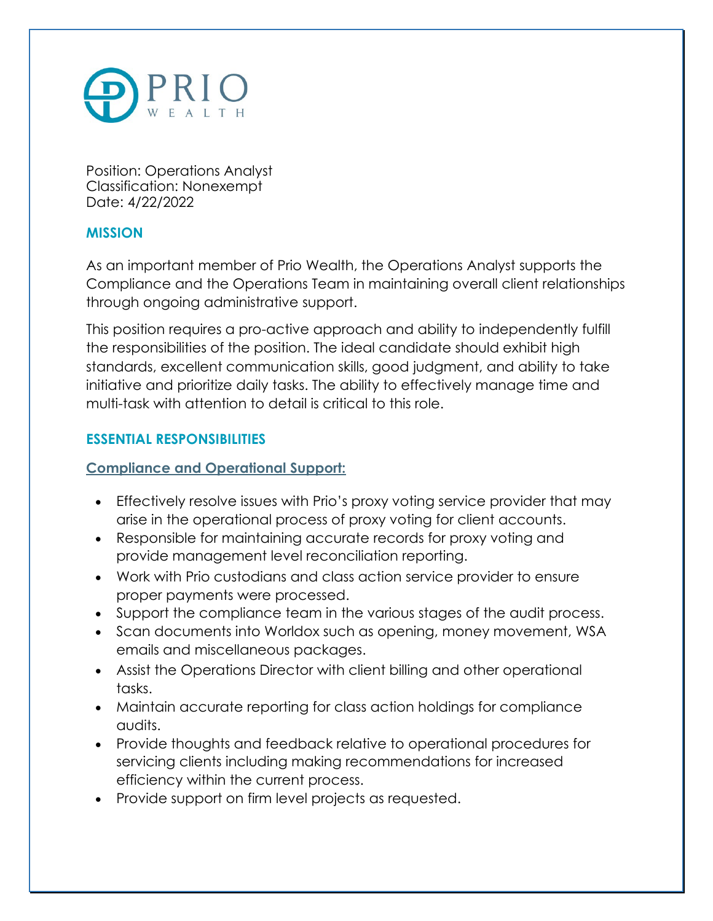

Position: Operations Analyst Classification: Nonexempt Date: 4/22/2022

## **MISSION**

As an important member of Prio Wealth, the Operations Analyst supports the Compliance and the Operations Team in maintaining overall client relationships through ongoing administrative support.

This position requires a pro-active approach and ability to independently fulfill the responsibilities of the position. The ideal candidate should exhibit high standards, excellent communication skills, good judgment, and ability to take initiative and prioritize daily tasks. The ability to effectively manage time and multi-task with attention to detail is critical to this role.

# **ESSENTIAL RESPONSIBILITIES**

## **Compliance and Operational Support:**

- Effectively resolve issues with Prio's proxy voting service provider that may arise in the operational process of proxy voting for client accounts.
- Responsible for maintaining accurate records for proxy voting and provide management level reconciliation reporting.
- Work with Prio custodians and class action service provider to ensure proper payments were processed.
- Support the compliance team in the various stages of the audit process.
- Scan documents into Worldox such as opening, money movement, WSA emails and miscellaneous packages.
- Assist the Operations Director with client billing and other operational tasks.
- Maintain accurate reporting for class action holdings for compliance audits.
- Provide thoughts and feedback relative to operational procedures for servicing clients including making recommendations for increased efficiency within the current process.
- Provide support on firm level projects as requested.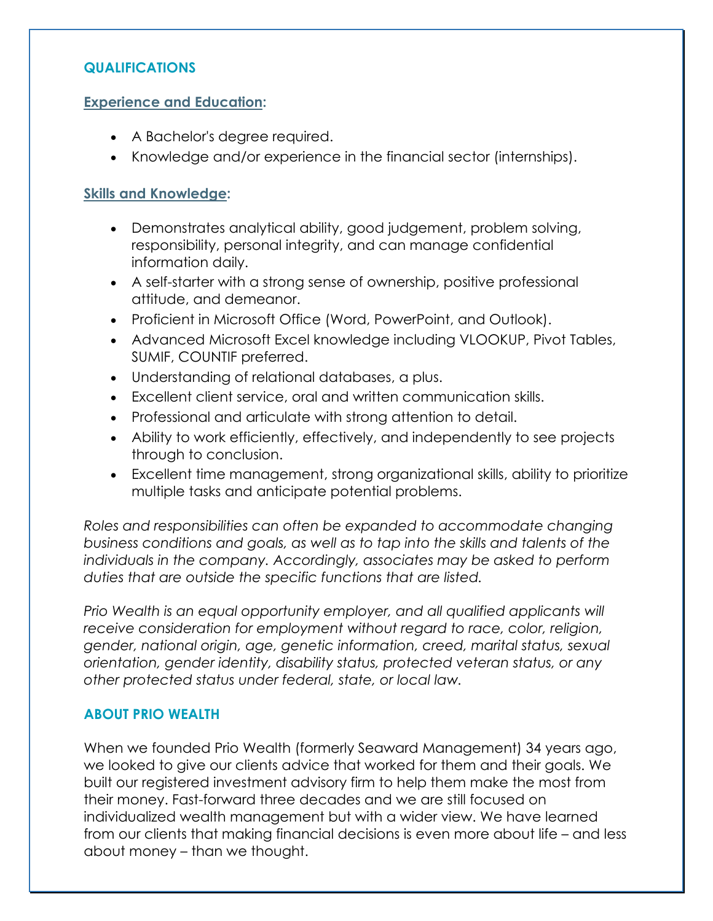### **QUALIFICATIONS**

#### **Experience and Education:**

- A Bachelor's degree required.
- Knowledge and/or experience in the financial sector (internships).

### **Skills and Knowledge:**

- Demonstrates analytical ability, good judgement, problem solving, responsibility, personal integrity, and can manage confidential information daily.
- A self-starter with a strong sense of ownership, positive professional attitude, and demeanor.
- Proficient in Microsoft Office (Word, PowerPoint, and Outlook).
- Advanced Microsoft Excel knowledge including VLOOKUP, Pivot Tables, SUMIF, COUNTIF preferred.
- Understanding of relational databases, a plus.
- Excellent client service, oral and written communication skills.
- Professional and articulate with strong attention to detail.
- Ability to work efficiently, effectively, and independently to see projects through to conclusion.
- Excellent time management, strong organizational skills, ability to prioritize multiple tasks and anticipate potential problems.

*Roles and responsibilities can often be expanded to accommodate changing business conditions and goals, as well as to tap into the skills and talents of the individuals in the company. Accordingly, associates may be asked to perform duties that are outside the specific functions that are listed.* 

*Prio Wealth is an equal opportunity employer, and all qualified applicants will receive consideration for employment without regard to race, color, religion, gender, national origin, age, genetic information, creed, marital status, sexual orientation, gender identity, disability status, protected veteran status, or any other protected status under federal, state, or local law.* 

## **ABOUT PRIO WEALTH**

When we founded Prio Wealth (formerly Seaward Management) 34 years ago, we looked to give our clients advice that worked for them and their goals. We built our registered investment advisory firm to help them make the most from their money. Fast-forward three decades and we are still focused on individualized wealth management but with a wider view. We have learned from our clients that making financial decisions is even more about life – and less about money – than we thought.